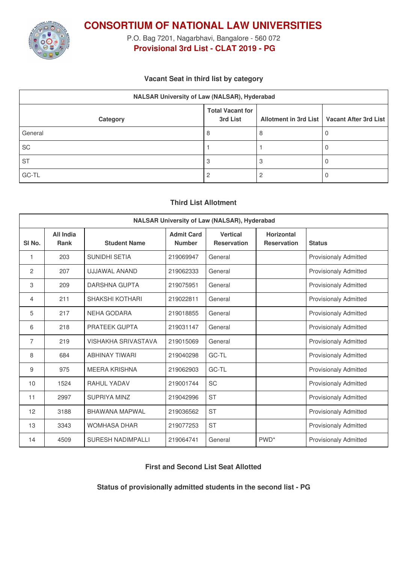

**CONSORTIUM OF NATIONAL LAW UNIVERSITIES**

P.O. Bag 7201, Nagarbhavi, Bangalore - 560 072 **Provisional 3rd List - CLAT 2019 - PG**

## **Vacant Seat in third list by category**

| NALSAR University of Law (NALSAR), Hyderabad |                                     |  |                                               |  |  |
|----------------------------------------------|-------------------------------------|--|-----------------------------------------------|--|--|
| Category                                     | <b>Total Vacant for</b><br>3rd List |  | Allotment in 3rd List   Vacant After 3rd List |  |  |
| General                                      | 8                                   |  |                                               |  |  |
| SC                                           |                                     |  |                                               |  |  |
| <b>ST</b>                                    |                                     |  |                                               |  |  |
| GC-TL                                        |                                     |  |                                               |  |  |

## **Third List Allotment**

| <b>NALSAR University of Law (NALSAR), Hyderabad</b> |                          |                          |                                    |                                       |                                         |                              |
|-----------------------------------------------------|--------------------------|--------------------------|------------------------------------|---------------------------------------|-----------------------------------------|------------------------------|
| SI <sub>No.</sub>                                   | All India<br><b>Rank</b> | <b>Student Name</b>      | <b>Admit Card</b><br><b>Number</b> | <b>Vertical</b><br><b>Reservation</b> | <b>Horizontal</b><br><b>Reservation</b> | <b>Status</b>                |
| 1                                                   | 203                      | SUNIDHI SETIA            | 219069947                          | General                               |                                         | <b>Provisionaly Admitted</b> |
| 2                                                   | 207                      | <b>UJJAWAL ANAND</b>     | 219062333                          | General                               |                                         | <b>Provisionaly Admitted</b> |
| 3                                                   | 209                      | <b>DARSHNA GUPTA</b>     | 219075951                          | General                               |                                         | <b>Provisionaly Admitted</b> |
| 4                                                   | 211                      | <b>SHAKSHI KOTHARI</b>   | 219022811                          | General                               |                                         | <b>Provisionaly Admitted</b> |
| 5                                                   | 217                      | <b>NEHA GODARA</b>       | 219018855                          | General                               |                                         | <b>Provisionaly Admitted</b> |
| 6                                                   | 218                      | <b>PRATEEK GUPTA</b>     | 219031147                          | General                               |                                         | <b>Provisionaly Admitted</b> |
| 7                                                   | 219                      | VISHAKHA SRIVASTAVA      | 219015069                          | General                               |                                         | <b>Provisionaly Admitted</b> |
| 8                                                   | 684                      | <b>ABHINAY TIWARI</b>    | 219040298                          | GC-TL                                 |                                         | <b>Provisionaly Admitted</b> |
| 9                                                   | 975                      | <b>MEERA KRISHNA</b>     | 219062903                          | GC-TL                                 |                                         | <b>Provisionaly Admitted</b> |
| 10                                                  | 1524                     | RAHUI YADAV              | 219001744                          | <b>SC</b>                             |                                         | <b>Provisionaly Admitted</b> |
| 11                                                  | 2997                     | SUPRIYA MINZ             | 219042996                          | <b>ST</b>                             |                                         | <b>Provisionaly Admitted</b> |
| 12                                                  | 3188                     | <b>BHAWANA MAPWAL</b>    | 219036562                          | <b>ST</b>                             |                                         | <b>Provisionaly Admitted</b> |
| 13                                                  | 3343                     | <b>WOMHASA DHAR</b>      | 219077253                          | <b>ST</b>                             |                                         | <b>Provisionaly Admitted</b> |
| 14                                                  | 4509                     | <b>SURESH NADIMPALLI</b> | 219064741                          | General                               | PWD <sup>*</sup>                        | <b>Provisionaly Admitted</b> |

**First and Second List Seat Allotted**

**Status of provisionally admitted students in the second list - PG**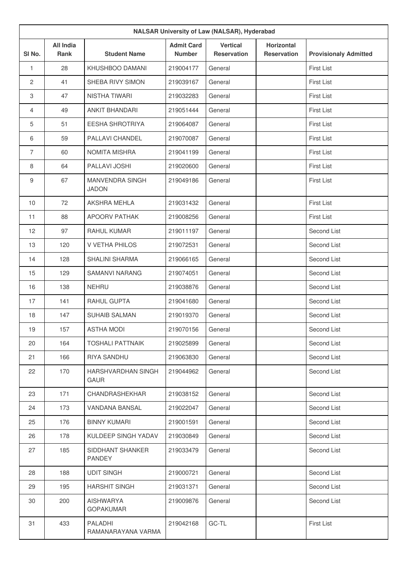| <b>NALSAR University of Law (NALSAR), Hyderabad</b> |                                 |                                      |                                    |                                       |                                         |                              |
|-----------------------------------------------------|---------------------------------|--------------------------------------|------------------------------------|---------------------------------------|-----------------------------------------|------------------------------|
| SI No.                                              | <b>All India</b><br><b>Rank</b> | <b>Student Name</b>                  | <b>Admit Card</b><br><b>Number</b> | <b>Vertical</b><br><b>Reservation</b> | <b>Horizontal</b><br><b>Reservation</b> | <b>Provisionaly Admitted</b> |
| $\mathbf{1}$                                        | 28                              | KHUSHBOO DAMANI                      | 219004177                          | General                               |                                         | <b>First List</b>            |
| $\overline{2}$                                      | 41                              | SHEBA RIVY SIMON                     | 219039167                          | General                               |                                         | <b>First List</b>            |
| 3                                                   | 47                              | <b>NISTHA TIWARI</b>                 | 219032283                          | General                               |                                         | <b>First List</b>            |
| 4                                                   | 49                              | <b>ANKIT BHANDARI</b>                | 219051444                          | General                               |                                         | <b>First List</b>            |
| 5                                                   | 51                              | <b>EESHA SHROTRIYA</b>               | 219064087                          | General                               |                                         | <b>First List</b>            |
| 6                                                   | 59                              | PALLAVI CHANDEL                      | 219070087                          | General                               |                                         | <b>First List</b>            |
| $\overline{7}$                                      | 60                              | <b>NOMITA MISHRA</b>                 | 219041199                          | General                               |                                         | <b>First List</b>            |
| 8                                                   | 64                              | PALLAVI JOSHI                        | 219020600                          | General                               |                                         | <b>First List</b>            |
| 9                                                   | 67                              | MANVENDRA SINGH<br><b>JADON</b>      | 219049186                          | General                               |                                         | <b>First List</b>            |
| 10                                                  | 72                              | AKSHRA MEHLA                         | 219031432                          | General                               |                                         | <b>First List</b>            |
| 11                                                  | 88                              | <b>APOORV PATHAK</b>                 | 219008256                          | General                               |                                         | <b>First List</b>            |
| 12                                                  | 97                              | RAHUL KUMAR                          | 219011197                          | General                               |                                         | Second List                  |
| 13                                                  | 120                             | V VETHA PHILOS                       | 219072531                          | General                               |                                         | Second List                  |
| 14                                                  | 128                             | <b>SHALINI SHARMA</b>                | 219066165                          | General                               |                                         | Second List                  |
| 15                                                  | 129                             | <b>SAMANVI NARANG</b>                | 219074051                          | General                               |                                         | Second List                  |
| 16                                                  | 138                             | <b>NEHRU</b>                         | 219038876                          | General                               |                                         | Second List                  |
| 17                                                  | 141                             | RAHUL GUPTA                          | 219041680                          | General                               |                                         | Second List                  |
| 18                                                  | 147                             | <b>SUHAIB SALMAN</b>                 | 219019370                          | General                               |                                         | Second List                  |
| 19                                                  | 157                             | <b>ASTHA MODI</b>                    | 219070156                          | General                               |                                         | Second List                  |
| 20                                                  | 164                             | <b>TOSHALI PATTNAIK</b>              | 219025899                          | General                               |                                         | Second List                  |
| 21                                                  | 166                             | RIYA SANDHU                          | 219063830                          | General                               |                                         | Second List                  |
| 22                                                  | 170                             | HARSHVARDHAN SINGH<br><b>GAUR</b>    | 219044962                          | General                               |                                         | Second List                  |
| 23                                                  | 171                             | CHANDRASHEKHAR                       | 219038152                          | General                               |                                         | Second List                  |
| 24                                                  | 173                             | VANDANA BANSAL                       | 219022047                          | General                               |                                         | Second List                  |
| 25                                                  | 176                             | <b>BINNY KUMARI</b>                  | 219001591                          | General                               |                                         | Second List                  |
| 26                                                  | 178                             | KULDEEP SINGH YADAV                  | 219030849                          | General                               |                                         | Second List                  |
| 27                                                  | 185                             | SIDDHANT SHANKER<br><b>PANDEY</b>    | 219033479                          | General                               |                                         | Second List                  |
| 28                                                  | 188                             | <b>UDIT SINGH</b>                    | 219000721                          | General                               |                                         | Second List                  |
| 29                                                  | 195                             | <b>HARSHIT SINGH</b>                 | 219031371                          | General                               |                                         | Second List                  |
| 30                                                  | 200                             | <b>AISHWARYA</b><br><b>GOPAKUMAR</b> | 219009876                          | General                               |                                         | Second List                  |
| 31                                                  | 433                             | PALADHI<br>RAMANARAYANA VARMA        | 219042168                          | GC-TL                                 |                                         | <b>First List</b>            |